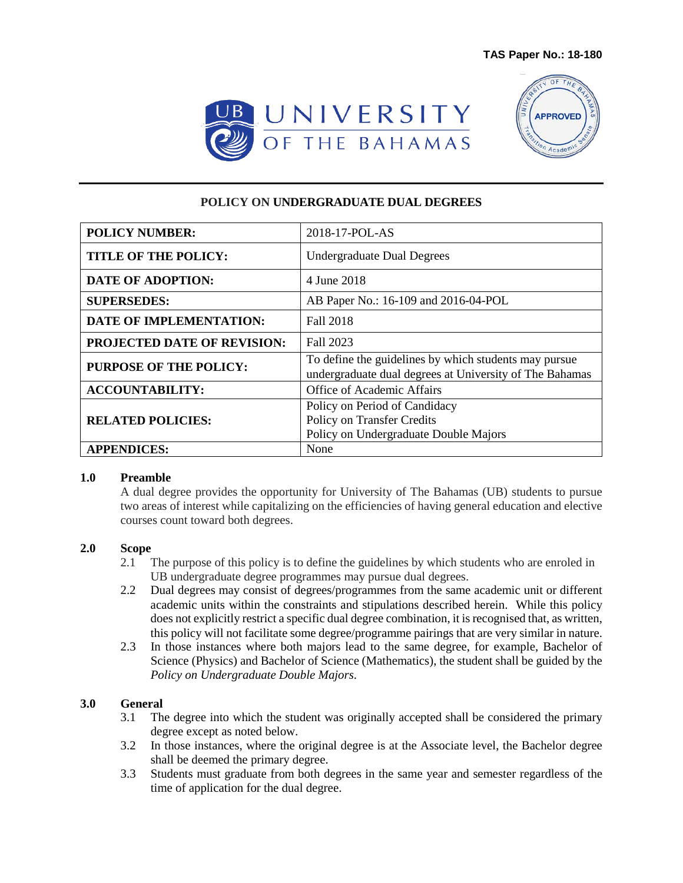



# **POLICY ON UNDERGRADUATE DUAL DEGREES**

| <b>POLICY NUMBER:</b>         | 2018-17-POL-AS                                                                                                   |
|-------------------------------|------------------------------------------------------------------------------------------------------------------|
| <b>TITLE OF THE POLICY:</b>   | <b>Undergraduate Dual Degrees</b>                                                                                |
| <b>DATE OF ADOPTION:</b>      | 4 June 2018                                                                                                      |
| <b>SUPERSEDES:</b>            | AB Paper No.: 16-109 and 2016-04-POL                                                                             |
| DATE OF IMPLEMENTATION:       | Fall 2018                                                                                                        |
| PROJECTED DATE OF REVISION:   | Fall 2023                                                                                                        |
| <b>PURPOSE OF THE POLICY:</b> | To define the guidelines by which students may pursue<br>undergraduate dual degrees at University of The Bahamas |
| <b>ACCOUNTABILITY:</b>        | Office of Academic Affairs                                                                                       |
| <b>RELATED POLICIES:</b>      | Policy on Period of Candidacy<br>Policy on Transfer Credits<br>Policy on Undergraduate Double Majors             |
| <b>APPENDICES:</b>            | None                                                                                                             |

#### **1.0 Preamble**

A dual degree provides the opportunity for University of The Bahamas (UB) students to pursue two areas of interest while capitalizing on the efficiencies of having general education and elective courses count toward both degrees.

#### **2.0 Scope**

- 2.1 The purpose of this policy is to define the guidelines by which students who are enroled in UB undergraduate degree programmes may pursue dual degrees.
- 2.2 Dual degrees may consist of degrees/programmes from the same academic unit or different academic units within the constraints and stipulations described herein. While this policy does not explicitly restrict a specific dual degree combination, it is recognised that, as written, this policy will not facilitate some degree/programme pairings that are very similar in nature.
- 2.3 In those instances where both majors lead to the same degree, for example, Bachelor of Science (Physics) and Bachelor of Science (Mathematics), the student shall be guided by the *Policy on Undergraduate Double Majors*.

#### **3.0 General**

- 3.1 The degree into which the student was originally accepted shall be considered the primary degree except as noted below.
- 3.2 In those instances, where the original degree is at the Associate level, the Bachelor degree shall be deemed the primary degree.
- 3.3 Students must graduate from both degrees in the same year and semester regardless of the time of application for the dual degree.